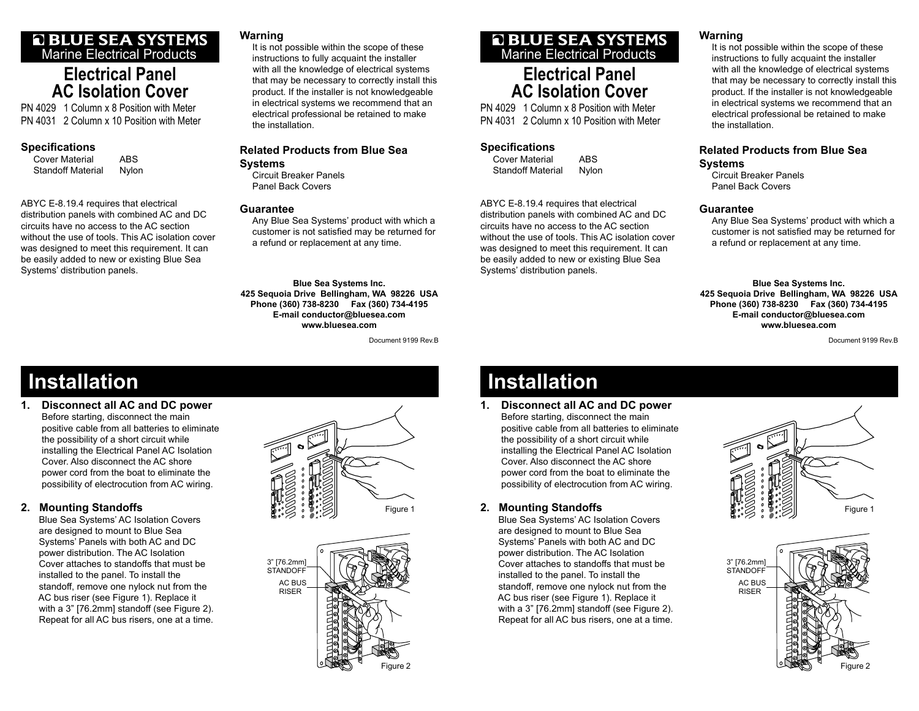### **Q BLUE SEA SYSTEMS** Marine Electrical Products

## **Electrical PanelAC Isolation Cover**

PN 4029 1 Column x 8 Position with MeterPN 4031 2 Column x 10 Position with Meter

#### **Specifi cations**

Cover Material ABS Standoff Material Nylon

Systems' distribution panels.

ABYC E-8.19.4 requires that electrical distribution panels with combined AC and DC circuits have no access to the AC section without the use of tools. This AC isolation cover was designed to meet this requirement. It can

be easily added to new or existing Blue Sea

#### **Warning**

 It is not possible within the scope of these instructions to fully acquaint the installer with all the knowledge of electrical systems that may be necessary to correctly install this product. If the installer is not knowledgeable in electrical systems we recommend that an electrical professional be retained to make the installation.

#### **Related Products from Blue Sea Systems**

 Circuit Breaker PanelsPanel Back Covers

#### **Guarantee**

 Any Blue Sea Systems' product with which a customer is not satisfied may be returned for a refund or replacement at any time.

**Blue Sea Systems Inc. 425 Sequoia Drive Bellingham, WA 98226 USA Phone (360) 738-8230 Fax (360) 734-4195 E-mail conductor@bluesea.com www.bluesea.com**

Document 9199 Rev.B

# Marine Electrical Products

# **Electrical PanelAC Isolation Cover**

PN 4029 1 Column x 8 Position with MeterPN 4031 2 Column x 10 Position with Meter

### **Specifications**

Cover Material ABS Standoff Material Nylon

ABYC E-8.19.4 requires that electrical distribution panels with combined AC and DC circuits have no access to the AC section without the use of tools. This AC isolation cover was designed to meet this requirement. It can be easily added to new or existing Blue Sea Systems' distribution panels.

### Circuit Breaker Panels Panel Back Covers**Guarantee**

**Warning**

**Systems**

the installation.

 Any Blue Sea Systems' product with which a customer is not satisfied may be returned for a refund or replacement at any time.

 It is not possible within the scope of these instructions to fully acquaint the installer with all the knowledge of electrical systems that may be necessary to correctly install this product. If the installer is not knowledgeable in electrical systems we recommend that an electrical professional be retained to make

**Related Products from Blue Sea** 

**Blue Sea Systems Inc. 425 Sequoia Drive Bellingham, WA 98226 USA Phone (360) 738-8230 Fax (360) 734-4195 E-mail conductor@bluesea.com www.bluesea.com**

Document 9199 Rev.B

# **Installation**

**1. Disconnect all AC and DC power** Before starting, disconnect the main positive cable from all batteries to eliminate the possibility of a short circuit while installing the Electrical Panel AC Isolation Cover. Also disconnect the AC shore power cord from the boat to eliminate the possibility of electrocution from AC wiring.

### **2. Mounting Standoffs**

 Blue Sea Systems' AC Isolation Covers are designed to mount to Blue Sea Systems' Panels with both AC and DC power distribution. The AC Isolation Cover attaches to standoffs that must be installed to the panel. To install the standoff, remove one nylock nut from the AC bus riser (see Figure 1). Replace it with a 3" [76.2mm] standoff (see Figure 2). Repeat for all AC bus risers, one at a time.





# **Installation**

**1. Disconnect all AC and DC power** Before starting, disconnect the main positive cable from all batteries to eliminate the possibility of a short circuit while installing the Electrical Panel AC Isolation Cover. Also disconnect the AC shore power cord from the boat to eliminate the possibility of electrocution from AC wiring.

### **2. Mounting Standoffs**

 Blue Sea Systems' AC Isolation Covers are designed to mount to Blue Sea Systems' Panels with both AC and DC power distribution. The AC Isolation Cover attaches to standoffs that must be installed to the panel. To install the standoff, remove one nylock nut from the AC bus riser (see Figure 1). Replace it with a 3" [76.2mm] standoff (see Figure 2). Repeat for all AC bus risers, one at a time.